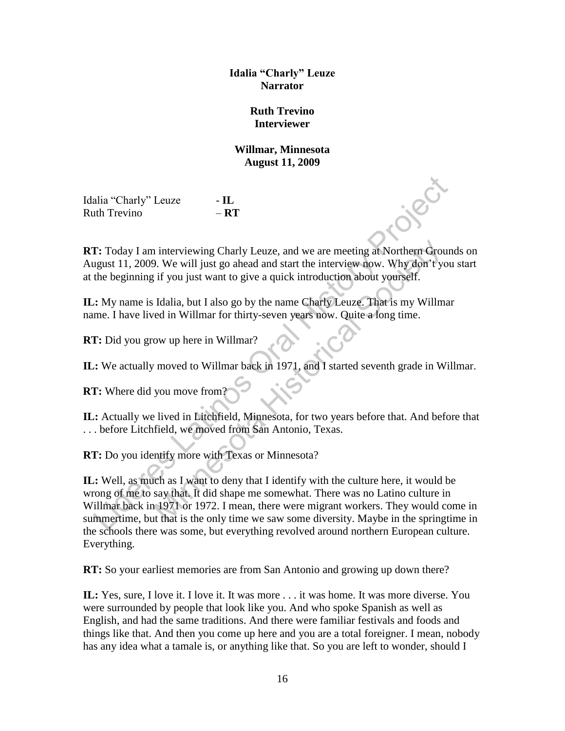**Idalia "Charly" Leuze Narrator** 

## **Ruth Trevino Interviewer**

## **Willmar, Minnesota August 11, 2009**

Idalia "Charly" Leuze - **IL** Ruth Trevino – **RT**

**RT:** Today I am interviewing Charly Leuze, and we are meeting at Northern Grounds on August 11, 2009. We will just go ahead and start the interview now. Why don't you start at the beginning if you just want to give a quick introduction about yourself.

**IL:** My name is Idalia, but I also go by the name Charly Leuze. That is my Willmar name. I have lived in Willmar for thirty-seven years now. Quite a long time.

**RT:** Did you grow up here in Willmar?

**IL:** We actually moved to Willmar back in 1971, and I started seventh grade in Willmar.

**RT:** Where did you move from?

**IL:** Actually we lived in Litchfield, Minnesota, for two years before that. And before that . . . before Litchfield, we moved from San Antonio, Texas.

**RT:** Do you identify more with Texas or Minnesota?

**IL:** Well, as much as I want to deny that I identify with the culture here, it would be wrong of me to say that. It did shape me somewhat. There was no Latino culture in Willmar back in 1971 or 1972. I mean, there were migrant workers. They would come in summertime, but that is the only time we saw some diversity. Maybe in the springtime in the schools there was some, but everything revolved around northern European culture. Everything. alia "Charly" Leuze - **IL**<br>
It the Trevino - **RT**<br> **Complementary** Leuze - **Complementary** Leuze, and we are meeting at Northern Ground<br>
It close Using 1 am interviewing Charly Leuze, and we are meeting at Northern Ground<br> is interviewing Charly Leuze, and we are meeting at Northern Group.<br>
We will just go ahead and start the interview now. Why don't year if you just want to give a quick introduction about yourself.<br>
Idalia, but I also go by

**RT:** So your earliest memories are from San Antonio and growing up down there?

**IL:** Yes, sure, I love it. I love it. It was more . . . it was home. It was more diverse. You were surrounded by people that look like you. And who spoke Spanish as well as English, and had the same traditions. And there were familiar festivals and foods and things like that. And then you come up here and you are a total foreigner. I mean, nobody has any idea what a tamale is, or anything like that. So you are left to wonder, should I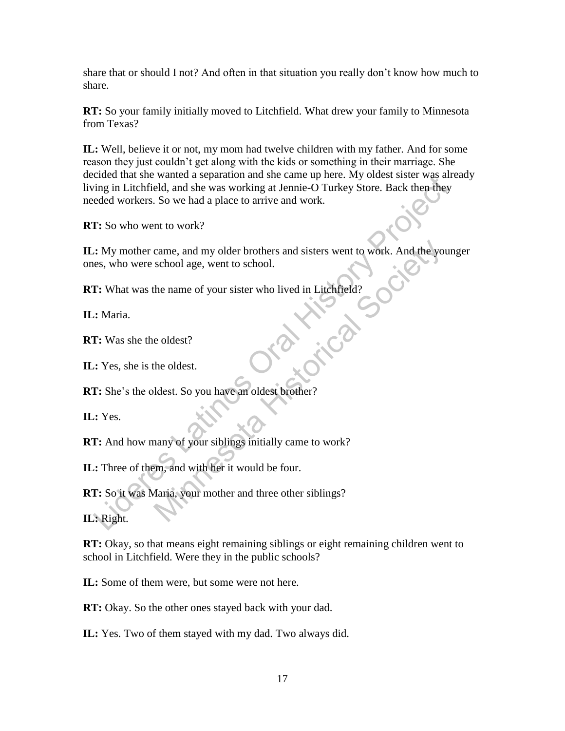share that or should I not? And often in that situation you really don't know how much to share.

**RT:** So your family initially moved to Litchfield. What drew your family to Minnesota from Texas?

**IL:** Well, believe it or not, my mom had twelve children with my father. And for some reason they just couldn't get along with the kids or something in their marriage. She decided that she wanted a separation and she came up here. My oldest sister was already living in Litchfield, and she was working at Jennie-O Turkey Store. Back then they needed workers. So we had a place to arrive and work. Existential since watter and supported the cannot are the divine the cannot and the cannot are cannot and the was working at Jennie-O Turkey Store. Back then they ended workers. So we had a place to arrive and work.<br> **I**:

**RT:** So who went to work?

**IL:** My mother came, and my older brothers and sisters went to work. And the younger ones, who were school age, went to school. came, and my older brothers and sisters went to work. And the yo school age, went to school.<br>
the name of your sister who lived in Litchfield?<br>
e oldest?<br>
the oldest.<br>
Mest. So you have an oldest brother?<br>
Many of your sib

**RT:** What was the name of your sister who lived in Litchfield?

**IL:** Maria.

**RT:** Was she the oldest?

**IL:** Yes, she is the oldest.

**RT:** She's the oldest. So you have an oldest brother?

**IL:** Yes.

**RT:** And how many of your siblings initially came to work?

**IL:** Three of them, and with her it would be four.

**RT:** So it was Maria, your mother and three other siblings?

**IL:** Right.

**RT:** Okay, so that means eight remaining siblings or eight remaining children went to school in Litchfield. Were they in the public schools?

**IL:** Some of them were, but some were not here.

**RT:** Okay. So the other ones stayed back with your dad.

**IL:** Yes. Two of them stayed with my dad. Two always did.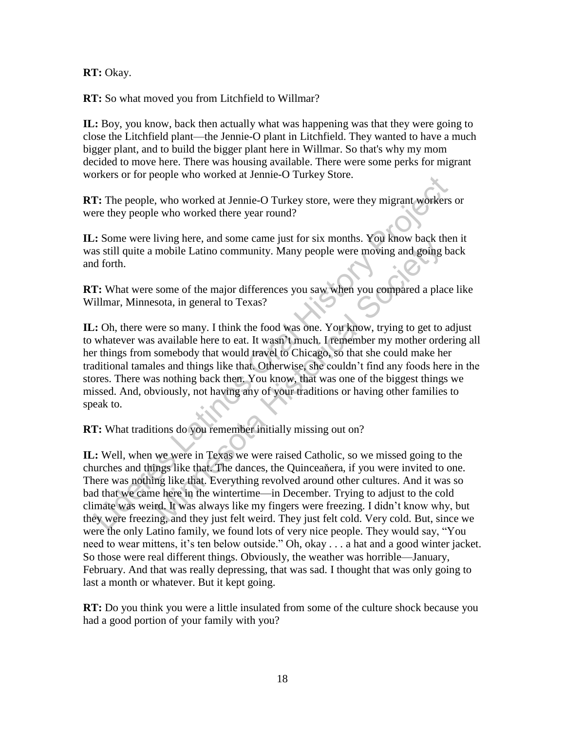**RT:** Okay.

**RT:** So what moved you from Litchfield to Willmar?

**IL:** Boy, you know, back then actually what was happening was that they were going to close the Litchfield plant—the Jennie-O plant in Litchfield. They wanted to have a much bigger plant, and to build the bigger plant here in Willmar. So that's why my mom decided to move here. There was housing available. There were some perks for migrant workers or for people who worked at Jennie-O Turkey Store.

**RT:** The people, who worked at Jennie-O Turkey store, were they migrant workers or were they people who worked there year round?

**IL:** Some were living here, and some came just for six months. You know back then it was still quite a mobile Latino community. Many people were moving and going back and forth.

**RT:** What were some of the major differences you saw when you compared a place like Willmar, Minnesota, in general to Texas?

**IL:** Oh, there were so many. I think the food was one. You know, trying to get to adjust to whatever was available here to eat. It wasn't much. I remember my mother ordering all her things from somebody that would travel to Chicago, so that she could make her traditional tamales and things like that. Otherwise, she couldn't find any foods here in the stores. There was nothing back then. You know, that was one of the biggest things we missed. And, obviously, not having any of your traditions or having other families to speak to. The people who worked at Jennie-O Turkey slote.<br>
The people, who worked at Jennie-O Turkey store, were they migrant workers<br>
rere they people who worked there year round?<br>
.: Some were living here, and some came just for s If ying more than solite can<br>mobile Latino community. Many people were moving and going<br>mobile Latino community. Many people were moving and going<br>some of the major differences you saw when you compared a plat<br>sota, in gen

**RT:** What traditions do you remember initially missing out on?

**IL:** Well, when we were in Texas we were raised Catholic, so we missed going to the churches and things like that. The dances, the Quinceaňera, if you were invited to one. There was nothing like that. Everything revolved around other cultures. And it was so bad that we came here in the wintertime—in December. Trying to adjust to the cold climate was weird. It was always like my fingers were freezing. I didn't know why, but they were freezing, and they just felt weird. They just felt cold. Very cold. But, since we were the only Latino family, we found lots of very nice people. They would say, "You need to wear mittens, it's ten below outside." Oh, okay . . . a hat and a good winter jacket. So those were real different things. Obviously, the weather was horrible—January, February. And that was really depressing, that was sad. I thought that was only going to last a month or whatever. But it kept going.

**RT:** Do you think you were a little insulated from some of the culture shock because you had a good portion of your family with you?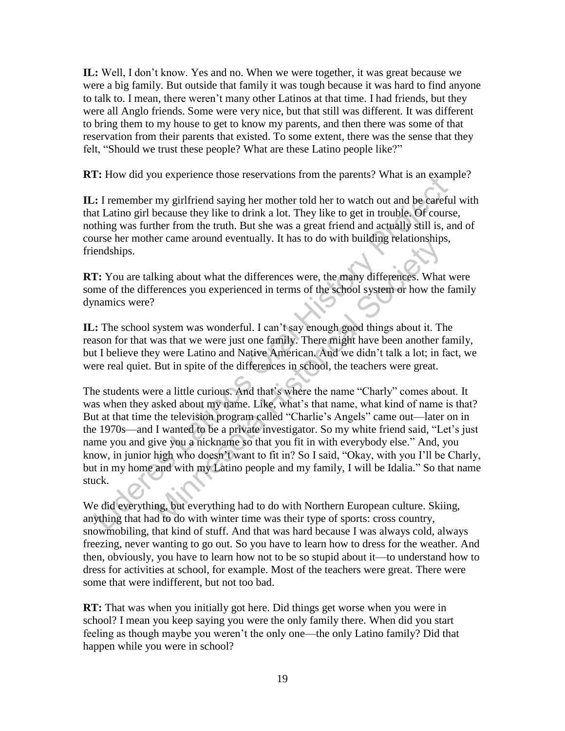**IL:** Well, I don't know. Yes and no. When we were together, it was great because we were a big family. But outside that family it was tough because it was hard to find anyone to talk to. I mean, there weren't many other Latinos at that time. I had friends, but they were all Anglo friends. Some were very nice, but that still was different. It was different to bring them to my house to get to know my parents, and then there was some of that reservation from their parents that existed. To some extent, there was the sense that they felt, "Should we trust these people? What are these Latino people like?"

**RT:** How did you experience those reservations from the parents? What is an example?

**IL:** I remember my girlfriend saying her mother told her to watch out and be careful with that Latino girl because they like to drink a lot. They like to get in trouble. Of course, nothing was further from the truth. But she was a great friend and actually still is, and of course her mother came around eventually. It has to do with building relationships, friendships.

**RT:** You are talking about what the differences were, the many differences. What were some of the differences you experienced in terms of the school system or how the family dynamics were?

**IL:** The school system was wonderful. I can't say enough good things about it. The reason for that was that we were just one family. There might have been another family, but I believe they were Latino and Native American. And we didn't talk a lot; in fact, we were real quiet. But in spite of the differences in school, the teachers were great.

The students were a little curious. And that's where the name "Charly" comes about. It was when they asked about my name. Like, what's that name, what kind of name is that? But at that time the television program called "Charlie's Angels" came out—later on in the 1970s—and I wanted to be a private investigator. So my white friend said, "Let's just name you and give you a nickname so that you fit in with everybody else." And, you know, in junior high who doesn't want to fit in? So I said, "Okay, with you I'll be Charly, but in my home and with my Latino people and my family, I will be Idalia." So that name stuck. 1: How und you experience those reservations from the patens? What is an example. In the careful Latino give between the bar in the control or the control or the control or the same that Latinos or the place of the order o Example 12 and the differences were, the many differences. What<br>
So do with other ences were the many differences. What<br>
Provides you experienced in terms of the school system or how the<br>
System was wonderful. I can't say

We did everything, but everything had to do with Northern European culture. Skiing, anything that had to do with winter time was their type of sports: cross country, snowmobiling, that kind of stuff. And that was hard because I was always cold, always freezing, never wanting to go out. So you have to learn how to dress for the weather. And then, obviously, you have to learn how not to be so stupid about it—to understand how to dress for activities at school, for example. Most of the teachers were great. There were some that were indifferent, but not too bad.

**RT:** That was when you initially got here. Did things get worse when you were in school? I mean you keep saying you were the only family there. When did you start feeling as though maybe you weren't the only one—the only Latino family? Did that happen while you were in school?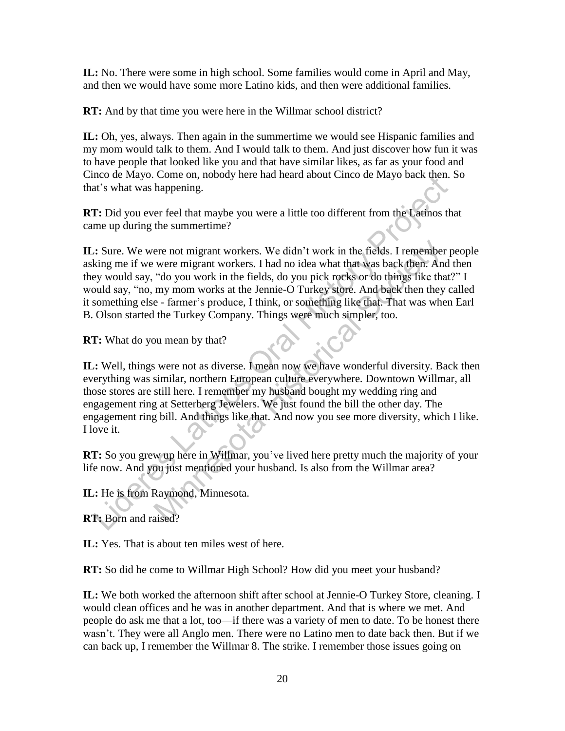**IL:** No. There were some in high school. Some families would come in April and May, and then we would have some more Latino kids, and then were additional families.

**RT:** And by that time you were here in the Willmar school district?

**IL:** Oh, yes, always. Then again in the summertime we would see Hispanic families and my mom would talk to them. And I would talk to them. And just discover how fun it was to have people that looked like you and that have similar likes, as far as your food and Cinco de Mayo. Come on, nobody here had heard about Cinco de Mayo back then. So that's what was happening.

**RT:** Did you ever feel that maybe you were a little too different from the Latinos that came up during the summertime?

**IL:** Sure. We were not migrant workers. We didn't work in the fields. I remember people asking me if we were migrant workers. I had no idea what that was back then. And then they would say, "do you work in the fields, do you pick rocks or do things like that?" I would say, "no, my mom works at the Jennie-O Turkey store. And back then they called it something else - farmer's produce, I think, or something like that. That was when Earl B. Olson started the Turkey Company. Things were much simpler, too. nct one wayor Control of the may the matter and about Conceleration and a state wayor of the matter of the matter or the matter of the matter or the matter or the matter or the matter or the matter or the matter or the mat ere not migrant workers. We didn't work in the fields. I remember<br>were migrant workers. I had no idea what that was back then. An<br>"do you work in the fields, do you pick rocks or do things like tha<br>my mom works at the Jenn

**RT:** What do you mean by that?

**IL:** Well, things were not as diverse. I mean now we have wonderful diversity. Back then everything was similar, northern European culture everywhere. Downtown Willmar, all those stores are still here. I remember my husband bought my wedding ring and engagement ring at Setterberg Jewelers. We just found the bill the other day. The engagement ring bill. And things like that. And now you see more diversity, which I like. I love it.

**RT:** So you grew up here in Willmar, you've lived here pretty much the majority of your life now. And you just mentioned your husband. Is also from the Willmar area?

**IL:** He is from Raymond, Minnesota.

**RT:** Born and raised?

**IL:** Yes. That is about ten miles west of here.

**RT:** So did he come to Willmar High School? How did you meet your husband?

**IL:** We both worked the afternoon shift after school at Jennie-O Turkey Store, cleaning. I would clean offices and he was in another department. And that is where we met. And people do ask me that a lot, too—if there was a variety of men to date. To be honest there wasn't. They were all Anglo men. There were no Latino men to date back then. But if we can back up, I remember the Willmar 8. The strike. I remember those issues going on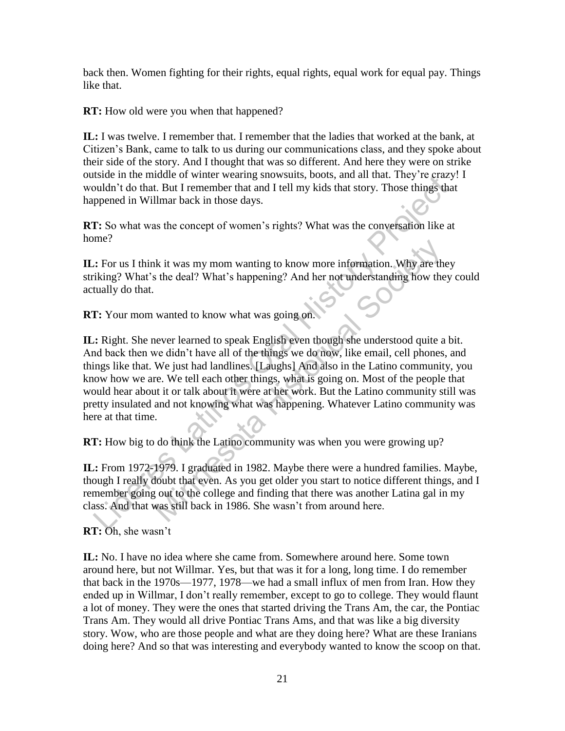back then. Women fighting for their rights, equal rights, equal work for equal pay. Things like that.

**RT:** How old were you when that happened?

**IL:** I was twelve. I remember that. I remember that the ladies that worked at the bank, at Citizen's Bank, came to talk to us during our communications class, and they spoke about their side of the story. And I thought that was so different. And here they were on strike outside in the middle of winter wearing snowsuits, boots, and all that. They're crazy! I wouldn't do that. But I remember that and I tell my kids that story. Those things that happened in Willmar back in those days.

**RT:** So what was the concept of women's rights? What was the conversation like at home?

**IL:** For us I think it was my mom wanting to know more information. Why are they striking? What's the deal? What's happening? And her not understanding how they could actually do that.

**RT:** Your mom wanted to know what was going on.

**IL:** Right. She never learned to speak English even though she understood quite a bit. And back then we didn't have all of the things we do now, like email, cell phones, and things like that. We just had landlines. [Laughs] And also in the Latino community, you know how we are. We tell each other things, what is going on. Most of the people that would hear about it or talk about it were at her work. But the Latino community still was pretty insulated and not knowing what was happening. Whatever Latino community was here at that time. Solven in the monde or womel wear was may shows susts. Olons, and an undat. They be travely the substrating in the monde or where we amply spend in Willmar back in those days.<br> **P.** So what was the concept of women's right he is twas my mom wanting to know more information. Why are the stand of the deal? What's happening? And her not understanding how the wanted to know what was going on.<br>
Hever learned to speak English even though she under

**RT:** How big to do think the Latino community was when you were growing up?

**IL:** From 1972-1979. I graduated in 1982. Maybe there were a hundred families. Maybe, though I really doubt that even. As you get older you start to notice different things, and I remember going out to the college and finding that there was another Latina gal in my class. And that was still back in 1986. She wasn't from around here.

**RT:** Oh, she wasn't

**IL:** No. I have no idea where she came from. Somewhere around here. Some town around here, but not Willmar. Yes, but that was it for a long, long time. I do remember that back in the 1970s—1977, 1978—we had a small influx of men from Iran. How they ended up in Willmar, I don't really remember, except to go to college. They would flaunt a lot of money. They were the ones that started driving the Trans Am, the car, the Pontiac Trans Am. They would all drive Pontiac Trans Ams, and that was like a big diversity story. Wow, who are those people and what are they doing here? What are these Iranians doing here? And so that was interesting and everybody wanted to know the scoop on that.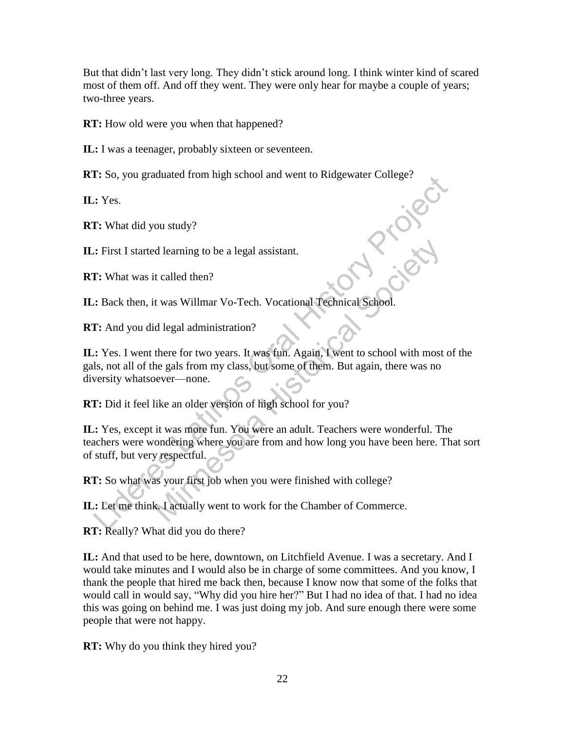But that didn't last very long. They didn't stick around long. I think winter kind of scared most of them off. And off they went. They were only hear for maybe a couple of years; two-three years.

**RT:** How old were you when that happened?

**IL:** I was a teenager, probably sixteen or seventeen.

**RT:** So, you graduated from high school and went to Ridgewater College?<br> **RT:** What did you study?<br> **IL:** First I started learning to be a legal assistant.<br> **RT:** What was it called then?<br> **FI:** What was it called then?

**IL:** Yes.

**RT:** What did you study?

**IL:** First I started learning to be a legal assistant.

**RT:** What was it called then?

IL: Back then, it was Willmar Vo-Tech. Vocational Technical School.

**RT:** And you did legal administration?

**IL:** Yes. I went there for two years. It was fun. Again, I went to school with most of the gals, not all of the gals from my class, but some of them. But again, there was no diversity whatsoever—none. 1: 30, you graduated nonting is school and went to Kingewater Conege?<br>
2: Yes.<br>
1: What did you study?<br>
2: First I started learning to be a legal assistant.<br>
1: What was it called then?<br>
2: Back then, it was Willmar Vo-Tec d learning to be a legal assistant.<br>
It called then?<br>
It was Willmar Vo-Tech. Vocational Technical School.<br>
Id legal administration?<br>
there for two years. It was fun. Again, I went to school with most<br>
he gals from my clas

**RT:** Did it feel like an older version of high school for you?

**IL:** Yes, except it was more fun. You were an adult. Teachers were wonderful. The teachers were wondering where you are from and how long you have been here. That sort of stuff, but very respectful.

**RT:** So what was your first job when you were finished with college?

**IL:** Let me think. I actually went to work for the Chamber of Commerce.

**RT:** Really? What did you do there?

**IL:** And that used to be here, downtown, on Litchfield Avenue. I was a secretary. And I would take minutes and I would also be in charge of some committees. And you know, I thank the people that hired me back then, because I know now that some of the folks that would call in would say, "Why did you hire her?" But I had no idea of that. I had no idea this was going on behind me. I was just doing my job. And sure enough there were some people that were not happy.

**RT:** Why do you think they hired you?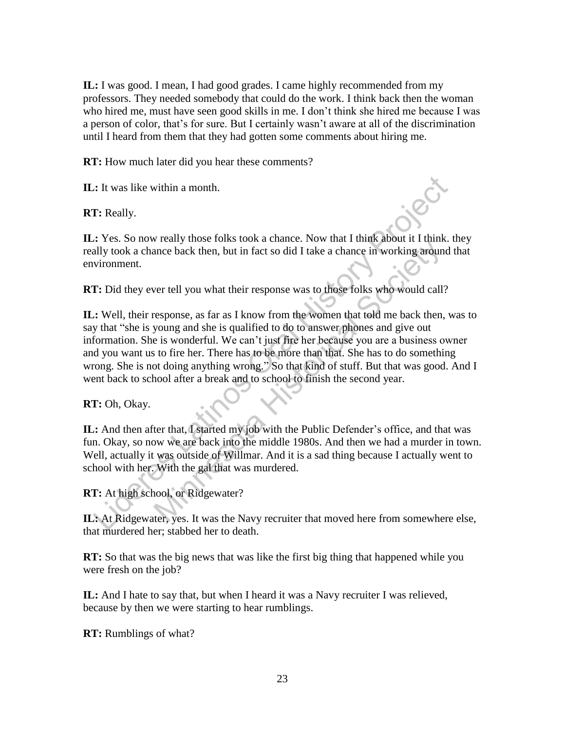**IL:** I was good. I mean, I had good grades. I came highly recommended from my professors. They needed somebody that could do the work. I think back then the woman who hired me, must have seen good skills in me. I don't think she hired me because I was a person of color, that's for sure. But I certainly wasn't aware at all of the discrimination until I heard from them that they had gotten some comments about hiring me.

**RT:** How much later did you hear these comments?

**IL:** It was like within a month.

**RT:** Really.

**IL:** Yes. So now really those folks took a chance. Now that I think about it I think. they really took a chance back then, but in fact so did I take a chance in working around that environment.

**RT:** Did they ever tell you what their response was to those folks who would call?

**IL:** Well, their response, as far as I know from the women that told me back then, was to say that "she is young and she is qualified to do to answer phones and give out information. She is wonderful. We can't just fire her because you are a business owner and you want us to fire her. There has to be more than that. She has to do something wrong. She is not doing anything wrong." So that kind of stuff. But that was good. And I went back to school after a break and to school to finish the second year. At was like within a month.<br>
T: Really.<br>
Let was like within a month.<br>
T: Ses. So now really those folks took a chance. Now that I think about it I think.<br>
T: Did they ever tell you what their response was to those folks The set of Milliam. And it is a sad thing about a transfer or a transfer or the solution and the solution and their response, as far as I know from the women that told me back then, young and she is qualified to do to answ

**RT:** Oh, Okay.

**IL:** And then after that, I started my job with the Public Defender's office, and that was fun. Okay, so now we are back into the middle 1980s. And then we had a murder in town. Well, actually it was outside of Willmar. And it is a sad thing because I actually went to school with her. With the gal that was murdered.

**RT:** At high school, or Ridgewater?

**IL:** At Ridgewater, yes. It was the Navy recruiter that moved here from somewhere else, that murdered her; stabbed her to death.

**RT:** So that was the big news that was like the first big thing that happened while you were fresh on the job?

**IL:** And I hate to say that, but when I heard it was a Navy recruiter I was relieved, because by then we were starting to hear rumblings.

**RT:** Rumblings of what?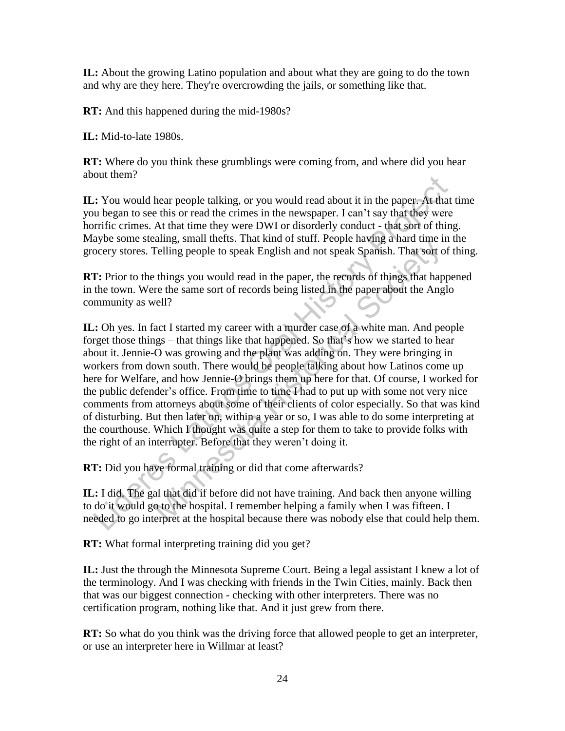**IL:** About the growing Latino population and about what they are going to do the town and why are they here. They're overcrowding the jails, or something like that.

**RT:** And this happened during the mid-1980s?

**IL:** Mid-to-late 1980s.

**RT:** Where do you think these grumblings were coming from, and where did you hear about them?

**IL:** You would hear people talking, or you would read about it in the paper. At that time you began to see this or read the crimes in the newspaper. I can't say that they were horrific crimes. At that time they were DWI or disorderly conduct - that sort of thing. Maybe some stealing, small thefts. That kind of stuff. People having a hard time in the grocery stores. Telling people to speak English and not speak Spanish. That sort of thing.

**RT:** Prior to the things you would read in the paper, the records of things that happened in the town. Were the same sort of records being listed in the paper about the Anglo community as well?

**IL:** Oh yes. In fact I started my career with a murder case of a white man. And people forget those things – that things like that happened. So that's how we started to hear about it. Jennie-O was growing and the plant was adding on. They were bringing in workers from down south. There would be people talking about how Latinos come up here for Welfare, and how Jennie-O brings them up here for that. Of course, I worked for the public defender's office. From time to time I had to put up with some not very nice comments from attorneys about some of their clients of color especially. So that was kind of disturbing. But then later on, within a year or so, I was able to do some interpreting at the courthouse. Which I thought was quite a step for them to take to provide folks with the right of an interrupter. Before that they weren't doing it. out usen:<br>
2. You would hear people talking, or you would read about it in the paper. At that<br>
1. You would see this or read the crimes in the newspaper. I can't say that they were<br>
1. Parific crimes. At that time they wer all that did if before that the marker and the set for the set and the set and the set and the set and the paper, the records of things hat hap re the same sort of records being listed in the paper about the Angell?<br>
act I

**RT:** Did you have formal training or did that come afterwards?

**IL:** I did. The gal that did if before did not have training. And back then anyone willing to do it would go to the hospital. I remember helping a family when I was fifteen. I needed to go interpret at the hospital because there was nobody else that could help them.

**RT:** What formal interpreting training did you get?

**IL:** Just the through the Minnesota Supreme Court. Being a legal assistant I knew a lot of the terminology. And I was checking with friends in the Twin Cities, mainly. Back then that was our biggest connection - checking with other interpreters. There was no certification program, nothing like that. And it just grew from there.

**RT:** So what do you think was the driving force that allowed people to get an interpreter, or use an interpreter here in Willmar at least?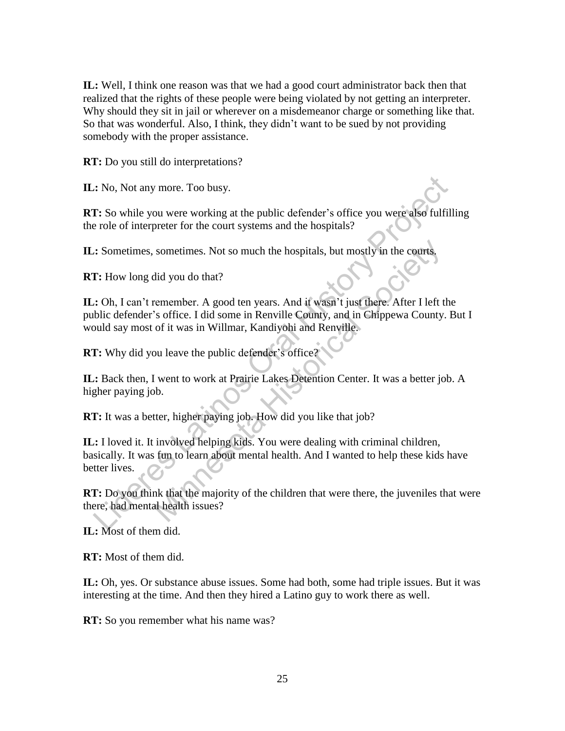**IL:** Well, I think one reason was that we had a good court administrator back then that realized that the rights of these people were being violated by not getting an interpreter. Why should they sit in jail or wherever on a misdemeanor charge or something like that. So that was wonderful. Also, I think, they didn't want to be sued by not providing somebody with the proper assistance.

**RT:** Do you still do interpretations?

**IL:** No, Not any more. Too busy.

**RT:** So while you were working at the public defender's office you were also fulfilling the role of interpreter for the court systems and the hospitals?

**IL:** Sometimes, sometimes. Not so much the hospitals, but mostly in the courts.

**RT:** How long did you do that?

**IL:** Oh, I can't remember. A good ten years. And it wasn't just there. After I left the public defender's office. I did some in Renville County, and in Chippewa County. But I would say most of it was in Willmar, Kandiyohi and Renville.

**RT:** Why did you leave the public defender's office?

**IL:** Back then, I went to work at Prairie Lakes Detention Center. It was a better job. A higher paying job.

**RT:** It was a better, higher paying job. How did you like that job?

**IL:** I loved it. It involved helping kids. You were dealing with criminal children, basically. It was fun to learn about mental health. And I wanted to help these kids have better lives. Also, Not any more. Too busy.<br>
T. So while you were working at the public defender's office you were also fulfill<br>
rele of interpreter for the court systems and the hospitals?<br>
<br>
Also Sometimes, sometimes. Not so much the sometimes. Not so much the hospitals, but mostly in the courts,<br>
id you do that?<br>
remember. A good ten years. And it wasn't just there. After I left t<br>
"soffice. I did some in Renville County, and in Chippewa County<br>
of it

**RT:** Do you think that the majority of the children that were there, the juveniles that were there, had mental health issues?

**IL:** Most of them did.

**RT:** Most of them did.

**IL:** Oh, yes. Or substance abuse issues. Some had both, some had triple issues. But it was interesting at the time. And then they hired a Latino guy to work there as well.

**RT:** So you remember what his name was?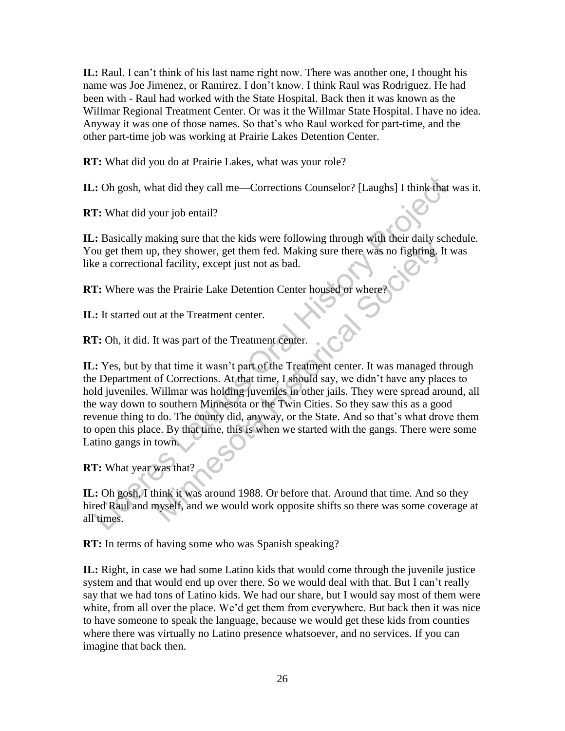**IL:** Raul. I can't think of his last name right now. There was another one, I thought his name was Joe Jimenez, or Ramirez. I don't know. I think Raul was Rodriguez. He had been with - Raul had worked with the State Hospital. Back then it was known as the Willmar Regional Treatment Center. Or was it the Willmar State Hospital. I have no idea. Anyway it was one of those names. So that's who Raul worked for part-time, and the other part-time job was working at Prairie Lakes Detention Center.

**RT:** What did you do at Prairie Lakes, what was your role?

**IL:** Oh gosh, what did they call me—Corrections Counselor? [Laughs] I think that was it.

**RT:** What did your job entail?

**IL:** Basically making sure that the kids were following through with their daily schedule. You get them up, they shower, get them fed. Making sure there was no fighting. It was like a correctional facility, except just not as bad.

**RT:** Where was the Prairie Lake Detention Center housed or where?

**IL:** It started out at the Treatment center.

**RT:** Oh, it did. It was part of the Treatment center.

**IL:** Yes, but by that time it wasn't part of the Treatment center. It was managed through the Department of Corrections. At that time, I should say, we didn't have any places to hold juveniles. Willmar was holding juveniles in other jails. They were spread around, all the way down to southern Minnesota or the Twin Cities. So they saw this as a good revenue thing to do. The county did, anyway, or the State. And so that's what drove them to open this place. By that time, this is when we started with the gangs. There were some Latino gangs in town. Colonia, what did they call me—Corrections Counselor? [Laughs] I think that <br>
1. What did your job entail?<br>
2. Basically making sure that the kids were following through with their daily scheme<br>
2. Basically making sure t EXERCT THE TRANS WELL TO THOUGHT WAS MORET WAS NOT BET AN AIR SOLUTED AN AIR SOLUTED. IT Also we can be pairing a lal facility, except just not as bad.<br>
the Prairie Lake Detention Center housed or where?<br>
t at the Treatmen

**RT:** What year was that?

**IL:** Oh gosh, I think it was around 1988. Or before that. Around that time. And so they hired Raul and myself, and we would work opposite shifts so there was some coverage at all times.

**RT:** In terms of having some who was Spanish speaking?

**IL:** Right, in case we had some Latino kids that would come through the juvenile justice system and that would end up over there. So we would deal with that. But I can't really say that we had tons of Latino kids. We had our share, but I would say most of them were white, from all over the place. We'd get them from everywhere. But back then it was nice to have someone to speak the language, because we would get these kids from counties where there was virtually no Latino presence whatsoever, and no services. If you can imagine that back then.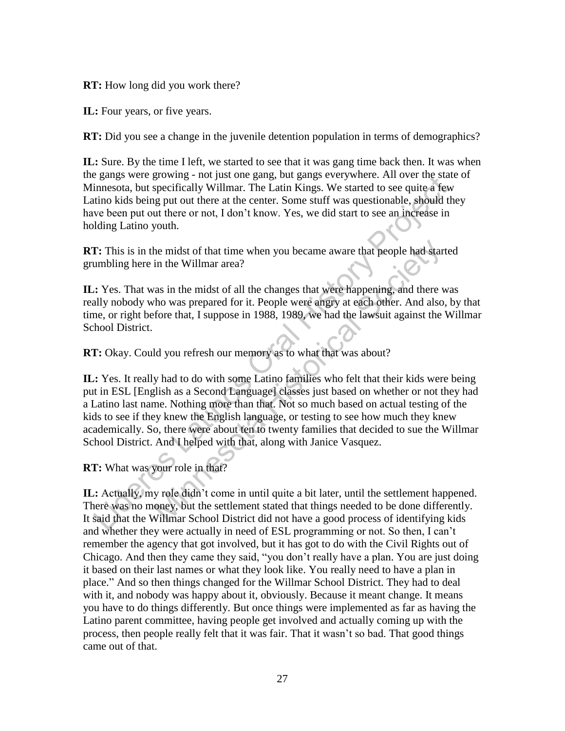**RT:** How long did you work there?

**IL:** Four years, or five years.

**RT:** Did you see a change in the juvenile detention population in terms of demographics?

**IL:** Sure. By the time I left, we started to see that it was gang time back then. It was when the gangs were growing - not just one gang, but gangs everywhere. All over the state of Minnesota, but specifically Willmar. The Latin Kings. We started to see quite a few Latino kids being put out there at the center. Some stuff was questionable, should they have been put out there or not, I don't know. Yes, we did start to see an increase in holding Latino youth.

**RT:** This is in the midst of that time when you became aware that people had started grumbling here in the Willmar area?

**IL:** Yes. That was in the midst of all the changes that were happening, and there was really nobody who was prepared for it. People were angry at each other. And also, by that time, or right before that, I suppose in 1988, 1989, we had the lawsuit against the Willmar School District.

**RT:** Okay. Could you refresh our memory as to what that was about?

**IL:** Yes. It really had to do with some Latino families who felt that their kids were being put in ESL [English as a Second Language] classes just based on whether or not they had a Latino last name. Nothing more than that. Not so much based on actual testing of the kids to see if they knew the English language, or testing to see how much they knew academically. So, there were about ten to twenty families that decided to sue the Willmar School District. And I helped with that, along with Janice Vasquez. gangs were growing - not just ontegrang, out gangs over gangs were exacted. And over the state<br>innesside, but specifically Willmar. The Latin Kings. We started to see quite a few<br>thro kids being put out there or not, I don the midst of that time when you became aware that people had star<br>in the Willmar area?<br>The willmar area?<br>The wind society of all the changes that were happening, and there v<br>ho was prepared for it. People were angry at eac

**RT:** What was your role in that?

**IL:** Actually, my role didn't come in until quite a bit later, until the settlement happened. There was no money, but the settlement stated that things needed to be done differently. It said that the Willmar School District did not have a good process of identifying kids and whether they were actually in need of ESL programming or not. So then, I can't remember the agency that got involved, but it has got to do with the Civil Rights out of Chicago. And then they came they said, "you don't really have a plan. You are just doing it based on their last names or what they look like. You really need to have a plan in place.‖ And so then things changed for the Willmar School District. They had to deal with it, and nobody was happy about it, obviously. Because it meant change. It means you have to do things differently. But once things were implemented as far as having the Latino parent committee, having people get involved and actually coming up with the process, then people really felt that it was fair. That it wasn't so bad. That good things came out of that.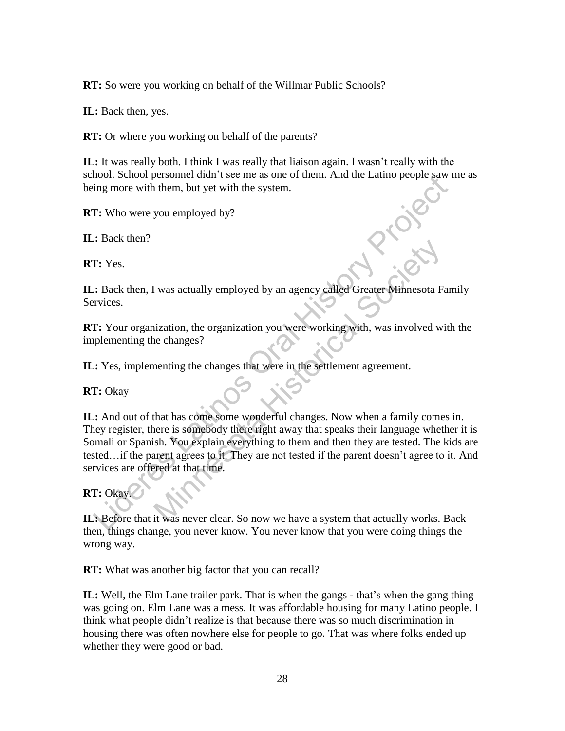**RT:** So were you working on behalf of the Willmar Public Schools?

**IL:** Back then, yes.

**RT:** Or where you working on behalf of the parents?

**IL:** It was really both. I think I was really that liaison again. I wasn't really with the school. School personnel didn't see me as one of them. And the Latino people saw me as being more with them, but yet with the system.

**RT:** Who were you employed by?

**IL:** Back then?

**RT:** Yes.

**IL:** Back then, I was actually employed by an agency called Greater Minnesota Family Services.

**RT:** Your organization, the organization you were working with, was involved with the implementing the changes?

**IL:** Yes, implementing the changes that were in the settlement agreement.

**RT:** Okay

**IL:** And out of that has come some wonderful changes. Now when a family comes in. They register, there is somebody there right away that speaks their language whether it is Somali or Spanish. You explain everything to them and then they are tested. The kids are tested…if the parent agrees to it. They are not tested if the parent doesn't agree to it. And services are offered at that time. Experient unties the mean of the sealed the mean of the sealed the mean of the mean of the meaning more with them, but yet with the system.<br>
<br> **Experience Latinos Oral History Project Search Constrainers**<br>
<br> **Experience La** I was actually employed by an agency called Greater Minnesota Francization, the organization you were working with, was involved with echanges?<br>
Menting the changes that were in the settlement agreement.<br>
At that has come

## **RT:** Okay.

**IL:** Before that it was never clear. So now we have a system that actually works. Back then, things change, you never know. You never know that you were doing things the wrong way.

**RT:** What was another big factor that you can recall?

**IL:** Well, the Elm Lane trailer park. That is when the gangs - that's when the gang thing was going on. Elm Lane was a mess. It was affordable housing for many Latino people. I think what people didn't realize is that because there was so much discrimination in housing there was often nowhere else for people to go. That was where folks ended up whether they were good or bad.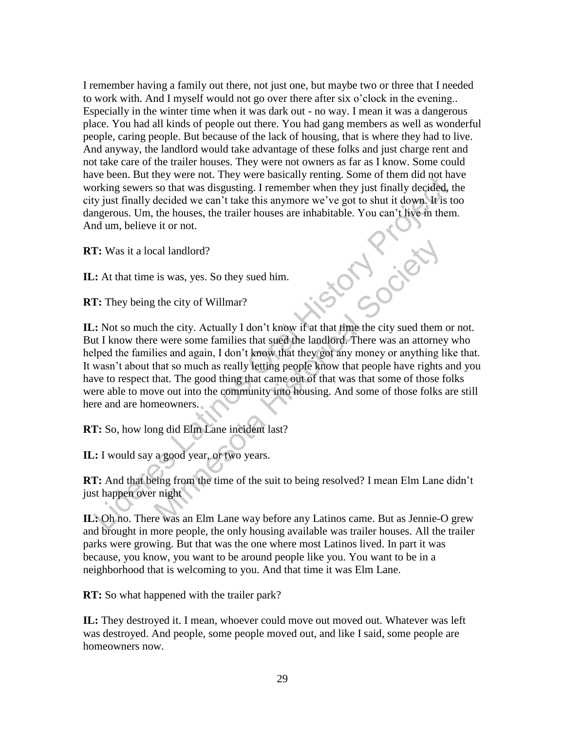I remember having a family out there, not just one, but maybe two or three that I needed to work with. And I myself would not go over there after six o'clock in the evening.. Especially in the winter time when it was dark out - no way. I mean it was a dangerous place. You had all kinds of people out there. You had gang members as well as wonderful people, caring people. But because of the lack of housing, that is where they had to live. And anyway, the landlord would take advantage of these folks and just charge rent and not take care of the trailer houses. They were not owners as far as I know. Some could have been. But they were not. They were basically renting. Some of them did not have working sewers so that was disgusting. I remember when they just finally decided, the city just finally decided we can't take this anymore we've got to shut it down. It is too dangerous. Um, the houses, the trailer houses are inhabitable. You can't live in them. And um, believe it or not.

**RT:** Was it a local landlord?

**IL:** At that time is was, yes. So they sued him.

**RT:** They being the city of Willmar?

**IL:** Not so much the city. Actually I don't know if at that time the city sued them or not. But I know there were some families that sued the landlord. There was an attorney who helped the families and again, I don't know that they got any money or anything like that. It wasn't about that so much as really letting people know that people have rights and you have to respect that. The good thing that came out of that was that some of those folks were able to move out into the community into housing. And some of those folks are still here and are homeowners. Evere is the two wears on the visit and was the best and the sealt of the sealt in the sealt in the sealt in the sealt in the sealt in the sealt in the sealt in the sealt in the sealt in the sealt in the best of the sealth cal landlord?<br>
is was, yes. So they sued him.<br>
the city of Willmar?<br>
the city of Willmar?<br>
the city of Willmar?<br>
the city Actually I don't know if at that time the city sued them<br>
e were some families that sued the landlor

**RT:** So, how long did Elm Lane incident last?

**IL:** I would say a good year, or two years.

**RT:** And that being from the time of the suit to being resolved? I mean Elm Lane didn't just happen over night

**IL:** Oh no. There was an Elm Lane way before any Latinos came. But as Jennie-O grew and brought in more people, the only housing available was trailer houses. All the trailer parks were growing. But that was the one where most Latinos lived. In part it was because, you know, you want to be around people like you. You want to be in a neighborhood that is welcoming to you. And that time it was Elm Lane.

**RT:** So what happened with the trailer park?

**IL:** They destroyed it. I mean, whoever could move out moved out. Whatever was left was destroyed. And people, some people moved out, and like I said, some people are homeowners now.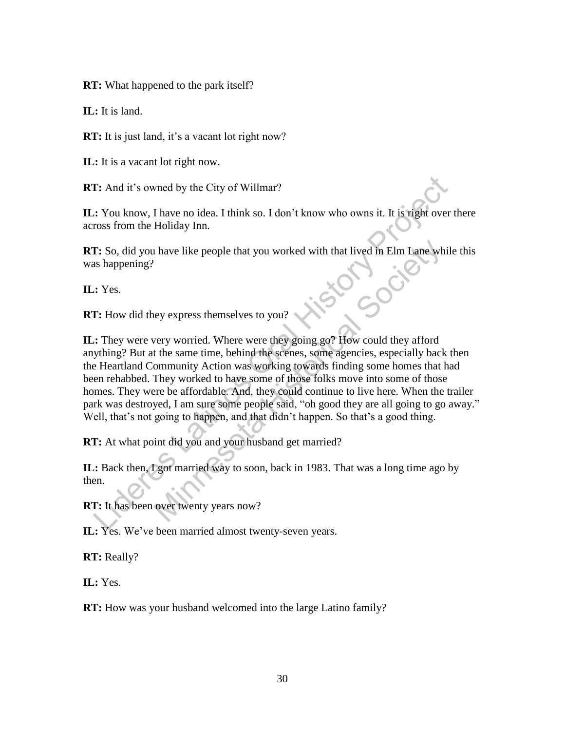**RT:** What happened to the park itself?

**IL:** It is land.

**RT:** It is just land, it's a vacant lot right now?

**IL:** It is a vacant lot right now.

**RT:** And it's owned by the City of Willmar?

**IL:** You know, I have no idea. I think so. I don't know who owns it. It is right over there across from the Holiday Inn.

**RT:** So, did you have like people that you worked with that lived in Elm Lane while this was happening?<br> **IL:** Yes.<br> **RT:** How did they express themselves that the state of the state of the state of the state of the state was happening?

**IL:** Yes.

**RT:** How did they express themselves to you?

**IL:** They were very worried. Where were they going go? How could they afford anything? But at the same time, behind the scenes, some agencies, especially back then the Heartland Community Action was working towards finding some homes that had been rehabbed. They worked to have some of those folks move into some of those homes. They were be affordable. And, they could continue to live here. When the trailer park was destroyed, I am sure some people said, "oh good they are all going to go away." Well, that's not going to happen, and that didn't happen. So that's a good thing. **Example 12**<br>
Let the Solution Compare to detail the Solution of the Solution of the Solution of the Solution of the History<br>
Let us a happening?<br>
Let us a happening?<br>
Let us a happening?<br>
Let us a happening?<br>
Let us a ha It have like people that you worked with that lived in Elm Lane wh<br>the people that you worked with that lived in Elm Lane wh<br>every worried. Where were they going go? How could they afford<br>the same time, behind the scenes,

**RT:** At what point did you and your husband get married?

**IL:** Back then, I got married way to soon, back in 1983. That was a long time ago by then.

**RT:** It has been over twenty years now?

**IL:** Yes. We've been married almost twenty-seven years.

**RT:** Really?

**IL:** Yes.

**RT:** How was your husband welcomed into the large Latino family?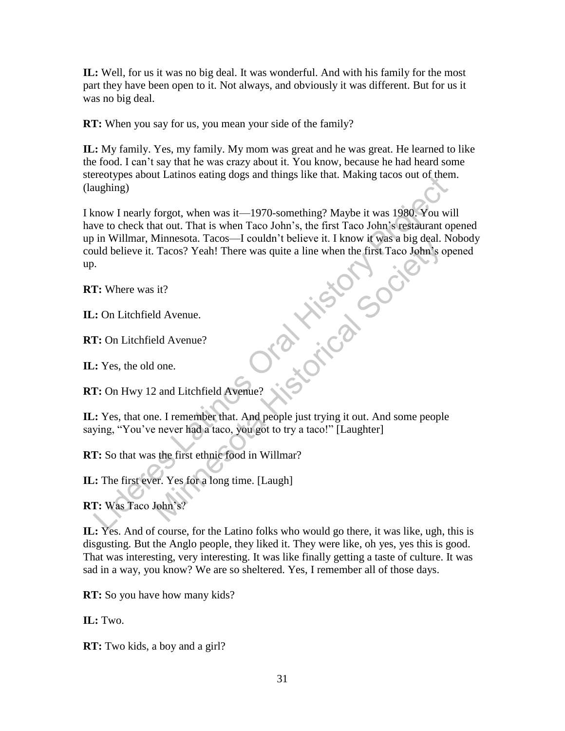**IL:** Well, for us it was no big deal. It was wonderful. And with his family for the most part they have been open to it. Not always, and obviously it was different. But for us it was no big deal.

**RT:** When you say for us, you mean your side of the family?

**IL:** My family. Yes, my family. My mom was great and he was great. He learned to like the food. I can't say that he was crazy about it. You know, because he had heard some stereotypes about Latinos eating dogs and things like that. Making tacos out of them. (laughing)

I know I nearly forgot, when was it—1970-something? Maybe it was 1980. You will have to check that out. That is when Taco John's, the first Taco John's restaurant opened up in Willmar, Minnesota. Tacos—I couldn't believe it. I know it was a big deal. Nobody could believe it. Tacos? Yeah! There was quite a line when the first Taco John's opened up. Electropies and transmiss caling dogs and unings like that. Maximg tacks out of order<br>the universe Latinos Campions and the same of the first Taco John's residuent to in Willmar, Minnesota. Tacos-I couldn't believe it. I k Minnesota: Tacos—T colinin Tocheve R. Tacos Tacos? Yeah! There was quite a line when the first Taco John's Channel Tacos? Yeah! There was quite a line when the first Taco John's Channel Society of the Society of the Societ

**RT:** Where was it?

**IL:** On Litchfield Avenue.

**RT:** On Litchfield Avenue?

**IL:** Yes, the old one.

**RT:** On Hwy 12 and Litchfield Avenue?

**IL:** Yes, that one. I remember that. And people just trying it out. And some people saying, "You've never had a taco, you got to try a taco!" [Laughter]

**RT:** So that was the first ethnic food in Willmar?

**IL:** The first ever. Yes for a long time. [Laugh]

**RT:** Was Taco John's?

**IL:** Yes. And of course, for the Latino folks who would go there, it was like, ugh, this is disgusting. But the Anglo people, they liked it. They were like, oh yes, yes this is good. That was interesting, very interesting. It was like finally getting a taste of culture. It was sad in a way, you know? We are so sheltered. Yes, I remember all of those days.

**RT:** So you have how many kids?

**IL:** Two.

**RT:** Two kids, a boy and a girl?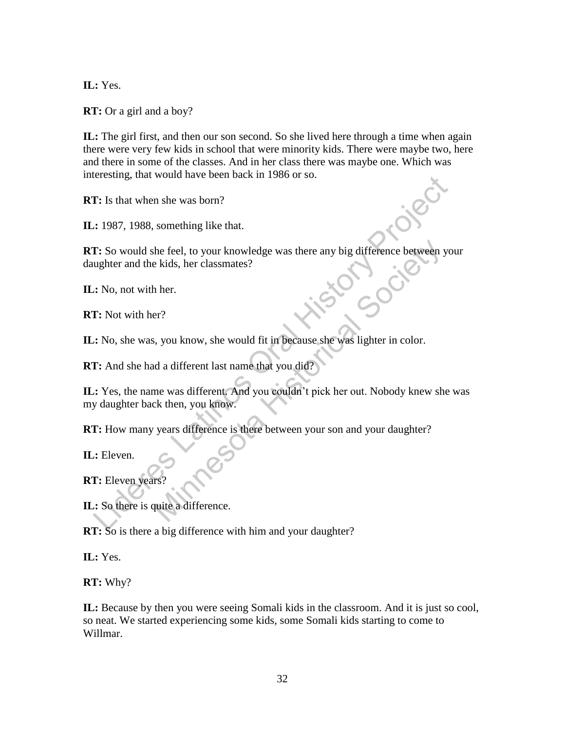**IL:** Yes.

**RT:** Or a girl and a boy?

**IL:** The girl first, and then our son second. So she lived here through a time when again there were very few kids in school that were minority kids. There were maybe two, here and there in some of the classes. And in her class there was maybe one. Which was interesting, that would have been back in 1986 or so.

**RT:** Is that when she was born?

**IL:** 1987, 1988, something like that.

**RT:** So would she feel, to your knowledge was there any big difference between your daughter and the kids, her classmates?<br> **IL:** No, not with her.<br> **RT:** Not with her? daughter and the kids, her classmates?

**IL:** No, not with her.

**RT:** Not with her?

**IL:** No, she was, you know, she would fit in because she was lighter in color.

**RT:** And she had a different last name that you did?

**IL:** Yes, the name was different. And you couldn't pick her out. Nobody knew she was my daughter back then, you know. Et Si that who shows the been back in 1960 or so.<br>
1. Is that when she was born?<br>
2. 1987, 1988, something like that.<br>
1. So would she feel, to your knowledge was there any big difference between youghter and the kids, her the feel, to your knowledge was there any big difference between pekids, her classmates?<br>
Ther.<br>
Her.<br>
Her.<br>
Society of the word of the pecause she was lighter in color.<br>
And you did?<br>
The was different last name that you

**RT:** How many years difference is there between your son and your daughter?

**IL:** Eleven.

**RT:** Eleven years?

**IL:** So there is quite a difference.

**RT:** So is there a big difference with him and your daughter?

**IL:** Yes.

**RT:** Why?

**IL:** Because by then you were seeing Somali kids in the classroom. And it is just so cool, so neat. We started experiencing some kids, some Somali kids starting to come to Willmar.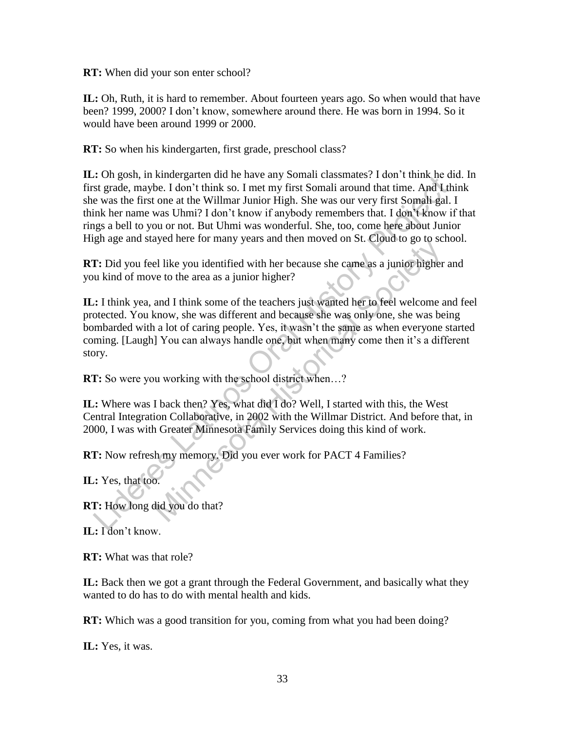**RT:** When did your son enter school?

**IL:** Oh, Ruth, it is hard to remember. About fourteen years ago. So when would that have been? 1999, 2000? I don't know, somewhere around there. He was born in 1994. So it would have been around 1999 or 2000.

**RT:** So when his kindergarten, first grade, preschool class?

**IL:** Oh gosh, in kindergarten did he have any Somali classmates? I don't think he did. In first grade, maybe. I don't think so. I met my first Somali around that time. And I think she was the first one at the Willmar Junior High. She was our very first Somali gal. I think her name was Uhmi? I don't know if anybody remembers that. I don't know if that rings a bell to you or not. But Uhmi was wonderful. She, too, come here about Junior High age and stayed here for many years and then moved on St. Cloud to go to school. Con good, the manner was Unimated and the nave any solution transmists are correlated to the season, the was the first one at the Willmar Junior High. She was our very first Somali gal. In the was the first one at the Will

**RT:** Did you feel like you identified with her because she came as a junior higher and you kind of move to the area as a junior higher?

**IL:** I think yea, and I think some of the teachers just wanted her to feel welcome and feel protected. You know, she was different and because she was only one, she was being bombarded with a lot of caring people. Yes, it wasn't the same as when everyone started coming. [Laugh] You can always handle one, but when many come then it's a different story. exploited by many years and netrimoved on st. Croad to go to see the like you identified with her because she came as a junior higher even to the area as a junior higher?<br>
and I think some of the teachers just wanted her t

**RT:** So were you working with the school district when...?

**IL:** Where was I back then? Yes, what did I do? Well, I started with this, the West Central Integration Collaborative, in 2002 with the Willmar District. And before that, in 2000, I was with Greater Minnesota Family Services doing this kind of work.

**RT:** Now refresh my memory. Did you ever work for PACT 4 Families?

**IL:** Yes, that too.

**RT:** How long did you do that?

**IL:** I don't know.

**RT:** What was that role?

**IL:** Back then we got a grant through the Federal Government, and basically what they wanted to do has to do with mental health and kids.

**RT:** Which was a good transition for you, coming from what you had been doing?

**IL:** Yes, it was.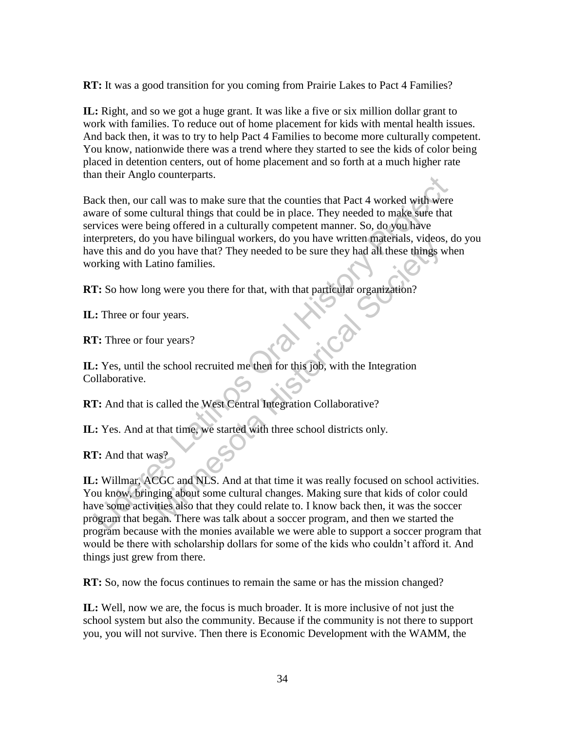**RT:** It was a good transition for you coming from Prairie Lakes to Pact 4 Families?

**IL:** Right, and so we got a huge grant. It was like a five or six million dollar grant to work with families. To reduce out of home placement for kids with mental health issues. And back then, it was to try to help Pact 4 Families to become more culturally competent. You know, nationwide there was a trend where they started to see the kids of color being placed in detention centers, out of home placement and so forth at a much higher rate than their Anglo counterparts.

Back then, our call was to make sure that the counties that Pact 4 worked with were aware of some cultural things that could be in place. They needed to make sure that services were being offered in a culturally competent manner. So, do you have interpreters, do you have bilingual workers, do you have written materials, videos, do you have this and do you have that? They needed to be sure they had all these things when working with Latino families. Example 12 And that the settlement and the solutions and then we started the solution or solution and the solution or solution of solution and the solution or solution or solution or which are the protections, the projecti

**RT:** So how long were you there for that, with that particular organization?

**IL:** Three or four years.

**RT:** Three or four years?

**IL:** Yes, until the school recruited me then for this job, with the Integration Collaborative.

**RT:** And that is called the West Central Integration Collaborative?

**IL:** Yes. And at that time, we started with three school districts only.

**RT:** And that was?

**IL:** Willmar, ACGC and NLS. And at that time it was really focused on school activities. You know, bringing about some cultural changes. Making sure that kids of color could have some activities also that they could relate to. I know back then, it was the soccer program that began. There was talk about a soccer program, and then we started the program because with the monies available we were able to support a soccer program that would be there with scholarship dollars for some of the kids who couldn't afford it. And things just grew from there. by ou have thing and workers, to you have which matchnies, victors<br>you have that? They needed to be sure they had all these things v<br>atino families.<br>In years?<br>atino families.<br>In years?<br>atino families.<br>They needed to be sur

**RT:** So, now the focus continues to remain the same or has the mission changed?

**IL:** Well, now we are, the focus is much broader. It is more inclusive of not just the school system but also the community. Because if the community is not there to support you, you will not survive. Then there is Economic Development with the WAMM, the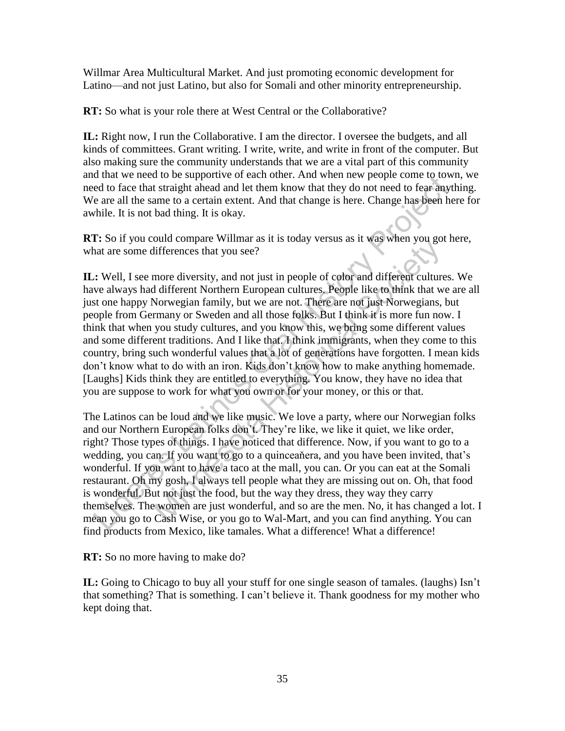Willmar Area Multicultural Market. And just promoting economic development for Latino—and not just Latino, but also for Somali and other minority entrepreneurship.

**RT:** So what is your role there at West Central or the Collaborative?

**IL:** Right now, I run the Collaborative. I am the director. I oversee the budgets, and all kinds of committees. Grant writing. I write, write, and write in front of the computer. But also making sure the community understands that we are a vital part of this community and that we need to be supportive of each other. And when new people come to town, we need to face that straight ahead and let them know that they do not need to fear anything. We are all the same to a certain extent. And that change is here. Change has been here for awhile. It is not bad thing. It is okay.

**RT:** So if you could compare Willmar as it is today versus as it was when you got here, what are some differences that you see?

**IL:** Well, I see more diversity, and not just in people of color and different cultures. We have always had different Northern European cultures. People like to think that we are all just one happy Norwegian family, but we are not. There are not just Norwegians, but people from Germany or Sweden and all those folks. But I think it is more fun now. I think that when you study cultures, and you know this, we bring some different values and some different traditions. And I like that. I think immigrants, when they come to this country, bring such wonderful values that a lot of generations have forgotten. I mean kids don't know what to do with an iron. Kids don't know how to make anything homemade. [Laughs] Kids think they are entitled to everything. You know, they have no idea that you are suppose to work for what you own or for your money, or this or that. u and we need to be supply our and History and Mindy and the may be people come to the same that startight ahead and let them know that they do not need to fear any and each of the same to a certain extent. And that change old compare winnia as it is loody versus as it was winch you got<br>differences that you see?<br>There different Culture different Culture<br>different Northern European cultures, People like to think that w<br>Norwegian family, but w

The Latinos can be loud and we like music. We love a party, where our Norwegian folks and our Northern European folks don't. They're like, we like it quiet, we like order, right? Those types of things. I have noticed that difference. Now, if you want to go to a wedding, you can. If you want to go to a quinceaňera, and you have been invited, that's wonderful. If you want to have a taco at the mall, you can. Or you can eat at the Somali restaurant. Oh my gosh, I always tell people what they are missing out on. Oh, that food is wonderful. But not just the food, but the way they dress, they way they carry themselves. The women are just wonderful, and so are the men. No, it has changed a lot. I mean you go to Cash Wise, or you go to Wal-Mart, and you can find anything. You can find products from Mexico, like tamales. What a difference! What a difference!

**RT:** So no more having to make do?

**IL:** Going to Chicago to buy all your stuff for one single season of tamales. (laughs) Isn't that something? That is something. I can't believe it. Thank goodness for my mother who kept doing that.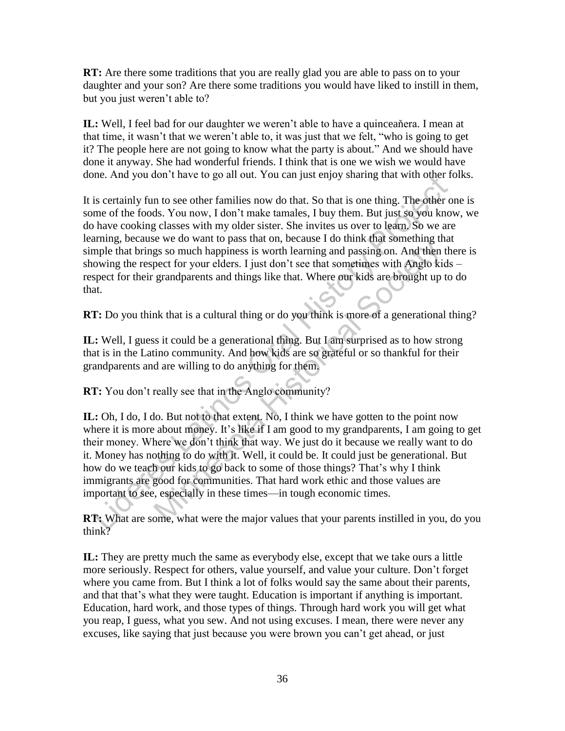**RT:** Are there some traditions that you are really glad you are able to pass on to your daughter and your son? Are there some traditions you would have liked to instill in them, but you just weren't able to?

**IL:** Well, I feel bad for our daughter we weren't able to have a quinceaňera. I mean at that time, it wasn't that we weren't able to, it was just that we felt, "who is going to get it? The people here are not going to know what the party is about." And we should have done it anyway. She had wonderful friends. I think that is one we wish we would have done. And you don't have to go all out. You can just enjoy sharing that with other folks.

It is certainly fun to see other families now do that. So that is one thing. The other one is some of the foods. You now, I don't make tamales, I buy them. But just so you know, we do have cooking classes with my older sister. She invites us over to learn. So we are learning, because we do want to pass that on, because I do think that something that simple that brings so much happiness is worth learning and passing on. And then there is showing the respect for your elders. I just don't see that sometimes with Anglo kids – respect for their grandparents and things like that. Where our kids are brought up to do that. me. Study you don't have to go an out, 1 ou can just enjoy shamig that whill onder it<br>is certainly fun to see other families now do that. So that is one thing. The other or<br>me of the foods. You now, I don't ranke tanades,

**RT:** Do you think that is a cultural thing or do you think is more of a generational thing?

**IL:** Well, I guess it could be a generational thing. But I am surprised as to how strong that is in the Latino community. And how kids are so grateful or so thankful for their grandparents and are willing to do anything for them.

**RT:** You don't really see that in the Anglo community?

**IL:** Oh, I do, I do. But not to that extent. No, I think we have gotten to the point now where it is more about money. It's like if I am good to my grandparents, I am going to get their money. Where we don't think that way. We just do it because we really want to do it. Money has nothing to do with it. Well, it could be. It could just be generational. But how do we teach our kids to go back to some of those things? That's why I think immigrants are good for communities. That hard work ethic and those values are important to see, especially in these times—in tough economic times. Example 18 and the pass unto the pass worth learning and passing on. And then<br>get os so much happiness is worth learning and passing on. And then<br>pect for your elders. I just don't see that sometimes with Anglo kis<br>grandp

**RT:** What are some, what were the major values that your parents instilled in you, do you think?

**IL:** They are pretty much the same as everybody else, except that we take ours a little more seriously. Respect for others, value yourself, and value your culture. Don't forget where you came from. But I think a lot of folks would say the same about their parents, and that that's what they were taught. Education is important if anything is important. Education, hard work, and those types of things. Through hard work you will get what you reap, I guess, what you sew. And not using excuses. I mean, there were never any excuses, like saying that just because you were brown you can't get ahead, or just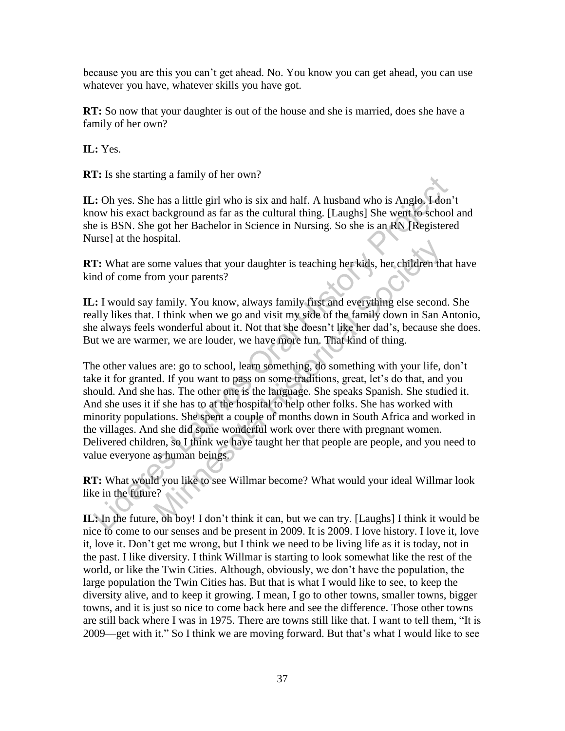because you are this you can't get ahead. No. You know you can get ahead, you can use whatever you have, whatever skills you have got.

**RT:** So now that your daughter is out of the house and she is married, does she have a family of her own?

**IL:** Yes.

**RT:** Is she starting a family of her own?

**IL:** Oh yes. She has a little girl who is six and half. A husband who is Anglo. I don't know his exact background as far as the cultural thing. [Laughs] She went to school and she is BSN. She got her Bachelor in Science in Nursing. So she is an RN [Registered Nurse] at the hospital.

**RT:** What are some values that your daughter is teaching her kids, her children that have kind of come from your parents?

**IL:** I would say family. You know, always family first and everything else second. She really likes that. I think when we go and visit my side of the family down in San Antonio, she always feels wonderful about it. Not that she doesn't like her dad's, because she does. But we are warmer, we are louder, we have more fun. That kind of thing.

The other values are: go to school, learn something, do something with your life, don't take it for granted. If you want to pass on some traditions, great, let's do that, and you should. And she has. The other one is the language. She speaks Spanish. She studied it. And she uses it if she has to at the hospital to help other folks. She has worked with minority populations. She spent a couple of months down in South Africa and worked in the villages. And she did some wonderful work over there with pregnant women. Delivered children, so I think we have taught her that people are people, and you need to value everyone as human beings. 1: Is sue stating a taimly of her own?<br>
2: Is sue stating a taimly of her own?<br>
2: Oh yes. She has a little girl who is six and half. A husband who is Anglo, 14on'<br>
colow his exact background as far as the cultural thing. splant.<br>
Some values that your daughter is teaching her kids, her children th<br>
om your parents?<br>
family. You know, always family first and everything else second<br>
I think when we go and visit my side of the family down in

**RT:** What would you like to see Willmar become? What would your ideal Willmar look like in the future?

**IL:** In the future, oh boy! I don't think it can, but we can try. [Laughs] I think it would be nice to come to our senses and be present in 2009. It is 2009. I love history. I love it, love it, love it. Don't get me wrong, but I think we need to be living life as it is today, not in the past. I like diversity. I think Willmar is starting to look somewhat like the rest of the world, or like the Twin Cities. Although, obviously, we don't have the population, the large population the Twin Cities has. But that is what I would like to see, to keep the diversity alive, and to keep it growing. I mean, I go to other towns, smaller towns, bigger towns, and it is just so nice to come back here and see the difference. Those other towns are still back where I was in 1975. There are towns still like that. I want to tell them, "It is 2009—get with it." So I think we are moving forward. But that's what I would like to see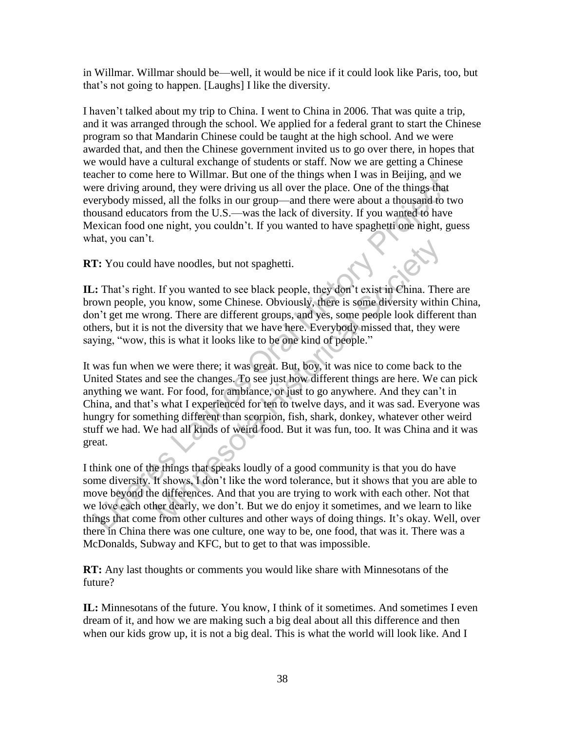in Willmar. Willmar should be—well, it would be nice if it could look like Paris, too, but that's not going to happen. [Laughs] I like the diversity.

I haven't talked about my trip to China. I went to China in 2006. That was quite a trip, and it was arranged through the school. We applied for a federal grant to start the Chinese program so that Mandarin Chinese could be taught at the high school. And we were awarded that, and then the Chinese government invited us to go over there, in hopes that we would have a cultural exchange of students or staff. Now we are getting a Chinese teacher to come here to Willmar. But one of the things when I was in Beijing, and we were driving around, they were driving us all over the place. One of the things that everybody missed, all the folks in our group—and there were about a thousand to two thousand educators from the U.S.—was the lack of diversity. If you wanted to have Mexican food one night, you couldn't. If you wanted to have spaghetti one night, guess what, you can't.

**RT:** You could have noodles, but not spaghetti.

**IL:** That's right. If you wanted to see black people, they don't exist in China. There are brown people, you know, some Chinese. Obviously, there is some diversity within China, don't get me wrong. There are different groups, and yes, some people look different than others, but it is not the diversity that we have here. Everybody missed that, they were saying, "wow, this is what it looks like to be one kind of people."

It was fun when we were there; it was great. But, boy, it was nice to come back to the United States and see the changes. To see just how different things are here. We can pick anything we want. For food, for ambiance, or just to go anywhere. And they can't in China, and that's what I experienced for ten to twelve days, and it was sad. Everyone was hungry for something different than scorpion, fish, shark, donkey, whatever other weird stuff we had. We had all kinds of weird food. But it was fun, too. It was China and it was great. Lie to come nee to winnia: but one or the tumps when t was in pelpig, and where the domen tere driving around, they were driving us all over the place. One of the things but<br>erped missed, all the folks in our group—and the have noodles, but not spaghetti.<br>
If you wanted to see black people, they dom't exist in China. The<br>
oul know, some Chinese. Obviously, there is some diversity within<br>
ong. There are different groups, and yes, some people

I think one of the things that speaks loudly of a good community is that you do have some diversity. It shows, I don't like the word tolerance, but it shows that you are able to move beyond the differences. And that you are trying to work with each other. Not that we love each other dearly, we don't. But we do enjoy it sometimes, and we learn to like things that come from other cultures and other ways of doing things. It's okay. Well, over there in China there was one culture, one way to be, one food, that was it. There was a McDonalds, Subway and KFC, but to get to that was impossible.

**RT:** Any last thoughts or comments you would like share with Minnesotans of the future?

**IL:** Minnesotans of the future. You know, I think of it sometimes. And sometimes I even dream of it, and how we are making such a big deal about all this difference and then when our kids grow up, it is not a big deal. This is what the world will look like. And I